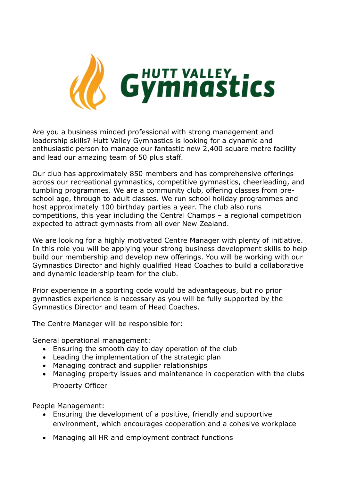

Are you a business minded professional with strong management and leadership skills? Hutt Valley Gymnastics is looking for a dynamic and enthusiastic person to manage our fantastic new 2,400 square metre facility and lead our amazing team of 50 plus staff.

Our club has approximately 850 members and has comprehensive offerings across our recreational gymnastics, competitive gymnastics, cheerleading, and tumbling programmes. We are a community club, offering classes from preschool age, through to adult classes. We run school holiday programmes and host approximately 100 birthday parties a year. The club also runs competitions, this year including the Central Champs – a regional competition expected to attract gymnasts from all over New Zealand.

We are looking for a highly motivated Centre Manager with plenty of initiative. In this role you will be applying your strong business development skills to help build our membership and develop new offerings. You will be working with our Gymnastics Director and highly qualified Head Coaches to build a collaborative and dynamic leadership team for the club.

Prior experience in a sporting code would be advantageous, but no prior gymnastics experience is necessary as you will be fully supported by the Gymnastics Director and team of Head Coaches.

The Centre Manager will be responsible for:

General operational management:

- Ensuring the smooth day to day operation of the club
- Leading the implementation of the strategic plan
- Managing contract and supplier relationships
- Managing property issues and maintenance in cooperation with the clubs Property Officer

People Management:

- Ensuring the development of a positive, friendly and supportive environment, which encourages cooperation and a cohesive workplace
- Managing all HR and employment contract functions